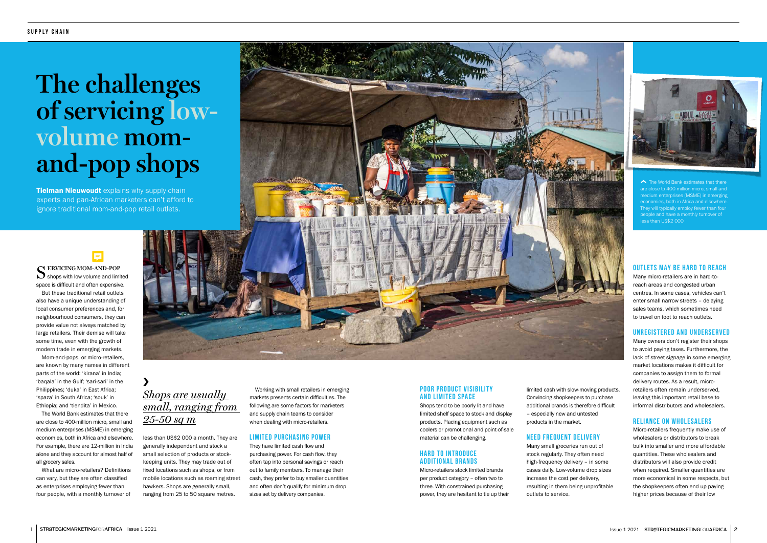Working with small retailers in emerging markets presents certain difficulties. The following are some factors for marketers and supply chain teams to consider when dealing with micro-retailers.

## **LIMITED PURCHASING POWER**

They have limited cash flow and purchasing power. For cash flow, they often tap into personal savings or reach out to family members. To manage their cash, they prefer to buy smaller quantities and often don't qualify for minimum drop sizes set by delivery companies.

## S **ERVICING MOM-AND-POP**  $\sum$  shops with low volume and limited space is difficult and often expensive.

But these traditional retail outlets also have a unique understanding of local consumer preferences and, for neighbourhood consumers, they can provide value not always matched by large retailers. Their demise will take some time, even with the growth of modern trade in emerging markets.

**Tielman Nieuwoudt** explains why supply chain experts and pan-African marketers can't afford to ignore traditional mom-and-pop retail outlets.

## **POOR PRODUCT VISIBILITY AND LIMITED SPACE**

Mom-and-pops, or micro-retailers, are known by many names in different parts of the world: 'kirana' in India; 'baqala' in the Gulf; 'sari-sari' in the Philippines; 'duka' in East Africa; 'spaza' in South Africa; 'souk' in Ethiopia; and 'tiendita' in Mexico.

## **HARD TO INTRODUCE ADDITIONAL BRANDS**

The World Bank estimates that there are close to 400-million micro, small and medium enterprises (MSME) in emerging economies, both in Africa and elsewhere. For example, there are 12-million in India alone and they account for almost half of all grocery sales.

What are micro-retailers? Definitions can vary, but they are often classified as enterprises employing fewer than four people, with a monthly turnover of

less than US\$2 000 a month. They are generally independent and stock a small selection of products or stockkeeping units. They may trade out of fixed locations such as shops, or from mobile locations such as roaming street hawkers. Shops are generally small, ranging from 25 to 50 square metres.

# **The challenges of servicing lowvolume momand-pop shops**

Shops tend to be poorly lit and have limited shelf space to stock and display products. Placing equipment such as coolers or promotional and point-of-sale material can be challenging.

Micro-retailers stock limited brands per product category – often two to three. With constrained purchasing power, they are hesitant to tie up their

limited cash with slow-moving products. Convincing shopkeepers to purchase additional brands is therefore difficult – especially new and untested products in the market.

## **NEED FREQUENT DELIVERY**

Many small groceries run out of stock regularly. They often need high-frequency delivery – in some cases daily. Low-volume drop sizes increase the cost per delivery, resulting in them being unprofitable outlets to service.



lack of street signage in some emerging market locations makes it difficult for companies to assign them to formal delivery routes. As a result, microretailers often remain underserved, leaving this important retail base to informal distributors and wholesalers.

## **RELIANCE ON WHOLESALERS**

Micro-retailers frequently make use of wholesalers or distributors to break bulk into smaller and more affordable quantities. These wholesalers and distributors will also provide credit when required. Smaller quantities are more economical in some respects, but the shopkeepers often end up paying higher prices because of their low

*Shops are usually small, ranging from 25-50 sq m* ›